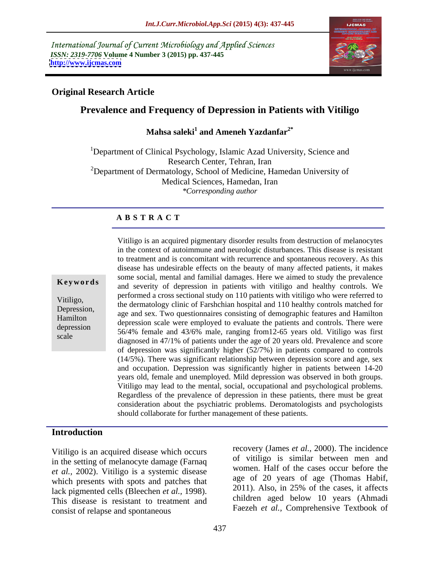International Journal of Current Microbiology and Applied Sciences *ISSN: 2319-7706* **Volume 4 Number 3 (2015) pp. 437-445 <http://www.ijcmas.com>**



# **Original Research Article**

# **Prevalence and Frequency of Depression in Patients with Vitiligo**

### Mahsa saleki<sup>1</sup> and Ameneh Yazdanfar<sup>2\*</sup>  **and Ameneh Yazdanfar2\***

<sup>1</sup>Department of Clinical Psychology, Islamic Azad University, Science and Research Center, Tehran, Iran  $2D$ epartment of Dermatology, School of Medicine, Hamedan University of Medical Sciences, Hamedan, Iran *\*Corresponding author*

# **A B S T R A C T**

scale

Vitiligo is an acquired pigmentary disorder results from destruction of melanocytes in the context of autoimmune and neurologic disturbances. This disease is resistant to treatment and is concomitant with recurrence and spontaneous recovery. As this disease has undesirable effects on the beauty of many affected patients, it makes some social, mental and familial damages. Here we aimed to study the prevalence **Keywords** and severity of depression in patients with vitiligo and healthy controls. We and severity of depression in patients with vitiligo and healthy controls. performed a cross sectional study on 110 patients with vitiligo who were referred to Vitiligo,<br>the dermatology clinic of Farshchian hospital and 110 healthy controls matched for Depression,<br>
age and sex. Two questionnaires consisting of demographic features and Hamilton Hamilton<br>depression scale were employed to evaluate the patients and controls. There were 56/4% female and 43/6% male, ranging from12-65 years old. Vitiligo was first depression diagnosed in 47/1% of patients under the age of 20 years old. Prevalence and score of depression was significantly higher (52/7%) in patients compared to controls (14/5%). There was significant relationship between depression score and age, sex and occupation. Depression was significantly higher in patients between 14-20 years old, female and unemployed. Mild depression was observed in both groups. Vitiligo may lead to the mental, social, occupational and psychological problems. Regardless of the prevalence of depression in these patients, there must be great consideration about the psychiatric problems. Deromatologists and psychologists should collaborate for further management of these patients.

# **Introduction**

Vitiligo is an acquired disease which occurs in the setting of melanocyte damage (Farnaq *et al.,* 2002). Vitiligo is a systemic disease which presents with spots and patches that lack pigmented cells (Bleechen *et al.,* 1998). This disease is resistant to treatment and consist of relapse and spontaneous

recovery (James *et al.,* 2000). The incidence of vitiligo is similar between men and women. Half of the cases occur before the age of 20 years of age (Thomas Habif, 2011). Also, in 25% of the cases, it affects children aged below 10 years (Ahmadi Faezeh *et al.,* Comprehensive Textbook of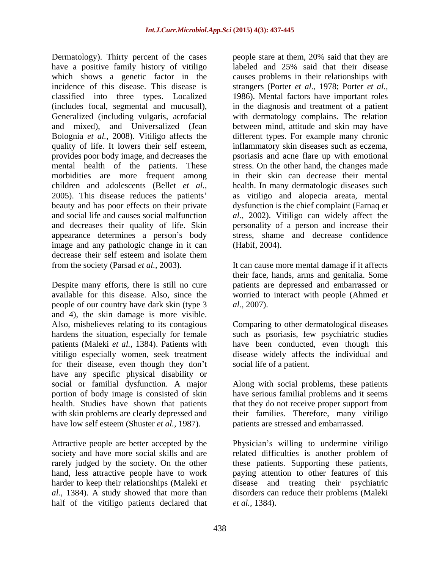Dermatology). Thirty percent of the cases have a positive family history of vitiligo which shows a genetic factor in the causes problems in their relationships with incidence of this disease. This disease is strangers (Porter *et al.,* 1978; Porter *et al.,* classified into three types. Localized 1986). Mental factors have important roles (includes focal, segmental and mucusall), Generalized (including vulgaris, acrofacial with dermatology complains. The relation and mixed), and Universalized (Jean between mind, attitude and skin may have Bolognia *et al.,* 2008). Vitiligo affects the quality of life. It lowers their self esteem, inflammatory skin diseases such as eczema, provides poor body image, and decreases the mental health of the patients. These morbidities are more frequent among in their skin can decrease their mental children and adolescents (Bellet *et al.,* health. In many dermatologic diseases such 2005). This disease reduces the patients beauty and has poor effects on their private dysfunction is the chief complaint (Farnaq *et*  and social life and causes social malfunction *al.,* 2002). Vitiligo can widely affect the and decreases their quality of life. Skin personality of a person and increase their appearance determines a person's body image and any pathologic change in it can decrease their self esteem and isolate them from the society (Parsad *et al.,* 2003). It can cause more mental damage if it affects

Despite many efforts, there is still no cure patients are depressed and embarrassed or available for this disease. Also, since the worried to interact with people (Ahmed *et*  people of our country have dark skin (type 3 *al.*, 2007). and 4), the skin damage is more visible. Also, misbelieves relating to its contagious Comparing to other dermatological diseases hardens the situation, especially for female such as psoriasis, few psychiatric studies patients (Maleki *et al.,* 1384). Patients with have been conducted, even though this vitiligo especially women, seek treatment for their disease, even though they don't have any specific physical disability or social or familial dysfunction. A major Along with social problems, these patients portion of body image is consisted of skin have serious familial problems and it seems health. Studies have shown that patients that they do not receive proper support from with skin problems are clearly depressed and their families. Therefore, many vitiligo have low self esteem (Shuster *et al.,* 1987).

half of the vitiligo patients declared that

people stare at them, 20% said that they are labeled and 25% said that their disease in the diagnosis and treatment of a patient different types. For example many chronic psoriasis and acne flare up with emotional stress. On the other hand, the changes made as vitiligo and alopecia areata, mental stress, shame and decrease confidence (Habif, 2004).

their face, hands, arms and genitalia. Some *al.,* 2007).

disease widely affects the individual and social life of a patient.

that they do not receive proper support from patients are stressed and embarrassed.

Attractive people are better accepted by the Physician's willing to undermine vitiligo society and have more social skills and are a related difficulties is another problem of rarely judged by the society. On the other these patients. Supporting these patients, hand, less attractive people have to work paying attention to other features of this harder to keep their relationships (Maleki *et*  disease and treating their psychiatric *al.,* 1384). A study showed that more than disorders can reduce their problems (Maleki *et al.,* 1384).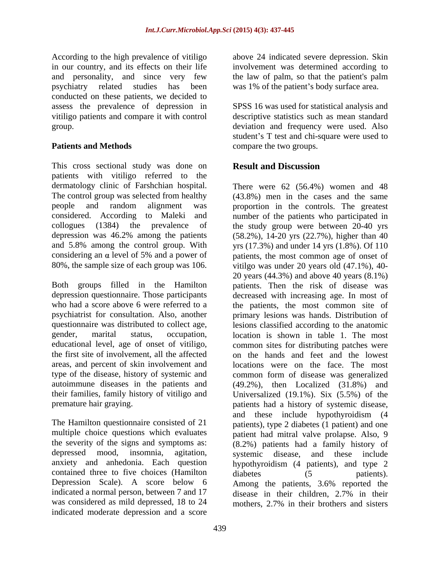According to the high prevalence of vitiligo above 24 indicated severe depression. Skin in our country, and its effects on their life and personality, and since very few the law of palm, so that the patient's palm psychiatry related studies has been was 1% of the patient s body surface area. conducted on these patients, we decided to assess the prevalence of depression in vitiligo patients and compare it with control descriptive statistics such as mean standard group. deviation and frequency were used. Also

This cross sectional study was done on **Result and Discussion** patients with vitiligo referred to the dermatology clinic of Farshchian hospital. There were 62 (56.4%) women and 48 The control group was selected from healthy

type of the disease, history of systemic and

contained three to five choices (Hamilton diabetes (5 patients). Depression Scale). A score below 6 was considered as mild depressed, 18 to 24 mothers, 2.7% in their brothers and sisters indicated moderate depression and a score

involvement was determined according to the law of palm, so that the patient's palm

**Patients and Methods compare the two groups.** SPSS 16 was used for statistical analysis and student's T test and chi-square were used to

# **Result and Discussion**

people and random alignment was proportion in the controls. The greatest considered. According to Maleki and number of the patients who participated in collogues (1384) the prevalence of the study group were between 20-40 yrs depression was 46.2% among the patients (58.2%), 14-20 yrs (22.7%), higher than 40 and 5.8% among the control group. With yrs (17.3%) and under 14 yrs (1.8%). Of 110 considering an  $\alpha$  level of 5% and a power of patients, the most common age of onset of 80%, the sample size of each group was 106. vitilgo was under 20 years old (47.1%), 40- Both groups filled in the Hamilton patients. Then the risk of disease was depression questionnaire. Those participants decreased with increasing age. In most of who had a score above 6 were referred to a the patients, the most common site of psychiatrist for consultation. Also, another primary lesions was hands. Distribution of questionnaire was distributed to collect age, lesions classified according to the anatomic gender, marital status, occupation, location is shown in table 1. The most educational level, age of onset of vitiligo, common sites for distributing patches were the first site of involvement, all the affected on the hands and feet and the lowest areas, and percent of skin involvement and locations were on the face. The most autoimmune diseases in the patients and (49.2%), then Localized (31.8%) and their families, family history of vitiligo and Universalized (19.1%). Six (5.5%) of the premature hair graying. patients had a history of systemic disease, The Hamilton questionnaire consisted of 21 patients), type 2 diabetes (1 patient) and one multiple choice questions which evaluates patient had mitral valve prolapse. Also, 9 the severity of the signs and symptoms as: (8.2%) patients had a family history of depressed mood, insomnia, agitation, systemic disease, and these include anxiety and anhedonia. Each question hypothyroidism (4 patients), and type 2 indicated a normal person, between 7 and 17 disease in their children, 2.7% in their (43.8%) men in the cases and the same 20 years (44.3%) and above 40 years (8.1%) common form of disease was generalized and these include hypothyroidism (4 diabetes (5 patients). Among the patients, 3.6% reported the mothers, 2.7% in their brothers and sisters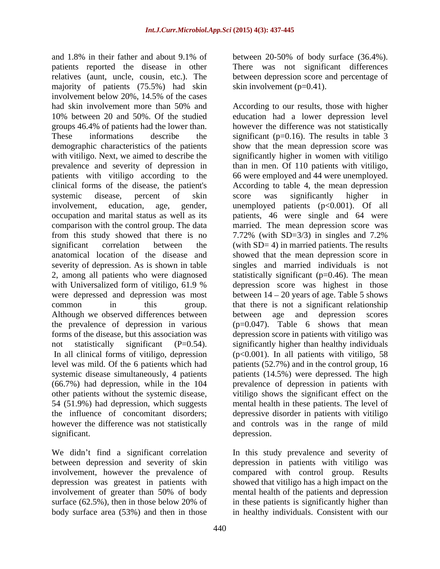and 1.8% in their father and about 9.1% of patients reported the disease in other There was not significant differences relatives (aunt, uncle, cousin, etc.). The between depression score and percentage of majority of patients (75.5%) had skin involvement below 20%, 14.5% of the cases from this study showed that there is no 7.72% (with SD=3/3) in singles and 7.2% Although we observed differences between between age and depression scores other patients without the systemic disease,

We didn't find a significant correlation In this study prevalence and severity of between depression and severity of skin depression in patients with vitiligo was involvement, however the prevalence of compared with control group. Results depression was greatest in patients with showed that vitiligo has a high impact on the involvement of greater than 50% of body mental health of the patients and depression surface (62.5%), then in those below 20% of in these patients is significantly higher than

between 20-50% of body surface (36.4%). skin involvement (p=0.41).

had skin involvement more than 50% and According to our results, those with higher 10% between 20 and 50%. Of the studied education had a lower depression level groups 46.4% of patients had the lower than. however the difference was not statistically These informations describe the significant (p=0.16). The results in table 3 demographic characteristics of the patients show that the mean depression score was with vitiligo. Next, we aimed to describe the significantly higher in women with vitiligo prevalence and severity of depression in than in men. Of 110 patients with vitiligo, patients with vitiligo according to the 66 were employed and 44 were unemployed. clinical forms of the disease, the patient's According to table 4, the mean depression systemic disease, percent of skin score was significantly higher in involvement, education, age, gender, unemployed patients (p<0.001). Of all occupation and marital status as well as its patients, 46 were single and 64 were comparison with the control group. The data married. The mean depression score was significant correlation between the (with SD= 4) in married patients. The results anatomical location of the disease and showed that the mean depression score in severity of depression. As is shown in table singles and married individuals is not 2, among all patients who were diagnosed statistically significant (p=0.46). The mean with Universalized form of vitiligo, 61.9 % depression score was highest in those were depressed and depression was most between  $14 - 20$  years of age. Table 5 shows common in this group. that there is not a significant relationship the prevalence of depression in various (p=0.047). Table 6 shows that mean forms of the disease, but this association was depression score in patients with vitiligo was not statistically significant (P=0.54). significantly higher than healthy individuals In all clinical forms of vitiligo, depression (p<0.001). In all patients with vitiligo, 58 level was mild. Of the 6 patients which had patients (52.7%) and in the control group, 16 systemic disease simultaneously, 4 patients patients (14.5%) were depressed. The high (66.7%) had depression, while in the 104 prevalence of depression in patients with 54 (51.9%) had depression, which suggests mental health in these patients. The level of the influence of concomitant disorders; depressive disorder in patients with vitiligo however the difference was not statistically and controls was in the range of mild significant. The contract of the extension of the extension of the contract of the contract of the contract of the contract of the contract of the contract of the contract of the contract of the contract of the contract of According to our results, those with higher score was significantly higher in 7.72% (with SD=3/3) in singles and 7.2% depression score was highest in those between age and depression scores vitiligo shows the significant effect on the depression.

body surface area (53%) and then in those in healthy individuals. Consistent with ourin these patients is significantly higher than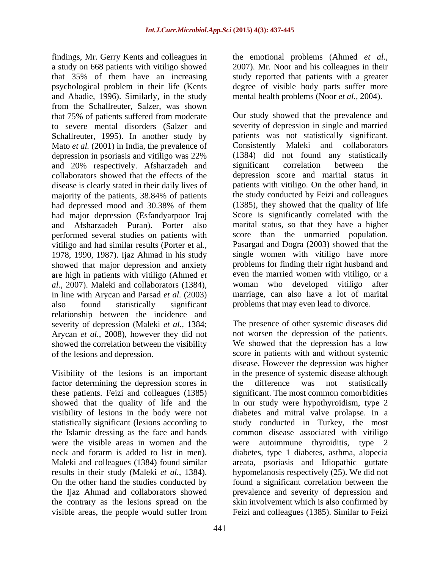findings, Mr. Gerry Kents and colleagues in the emotional problems (Ahmed *et al.,* a study on 668 patients with vitiligo showed 2007). Mr. Noor and his colleagues in their that 35% of them have an increasing study reported that patients with a greater psychological problem in their life (Kents degree of visible body parts suffer more and Abadie, 1996). Similarly, in the study from the Schallreuter, Salzer, was shown that 75% of patients suffered from moderate to severe mental disorders (Salzer and Schallreuter, 1995). In another study by Mato *et al.* (2001) in India, the prevalence of Consistently and 20% respectively. Afsharzadeh and collaborators showed that the effects of the disease is clearly stated in their daily lives of majority of the patients, 38.84% of patients had depressed mood and 30.38% of them had major depression (Esfandyarpoor Iraj performed several studies on patients with vitiligo and had similar results (Porter et al., 1978, 1990, 1987). Ijaz Ahmad in his study showed that major depression and anxiety are high in patients with vitiligo (Ahmed *et*  also found statistically significant problems that may even lead to divorce. relationship between the incidence and severity of depression (Maleki *et al.,* 1384; The presence of other systemic diseases did Arycan *et al.,* 2008), however they did not showed the correlation between the visibility

factor determining the depression scores in the difference was not statistically were the visible areas in women and the visible areas, the people would suffer from Feizi and colleagues (1385). Similar to Feizi

mental health problems (Noor *et al.,* 2004).

depression in psoriasis and vitiligo was 22% and Afsharzadeh Puran). Porter also marital status, so that they have a higher *al.,* 2007). Maleki and collaborators (1384), in line with Arycan and Parsad *et al.* (2003) Our study showed that the prevalence and severity of depression in single and married patients was not statistically significant. Maleki and collaborators (1384) did not found any statistically significant correlation between the depression score and marital status in patients with vitiligo. On the other hand, in the study conducted by Feizi and colleagues (1385), they showed that the quality of life Score is significantly correlated with the score than the unmarried population. Pasargad and Dogra (2003) showed that the single women with vitiligo have more problems for finding their right husband and even the married women with vitiligo, or a woman who developed vitiligo after marriage, can also have a lot of marital

of the lesions and depression. score in patients with and without systemic Visibility of the lesions is an important in the presence of systemic disease although these patients. Feizi and colleagues (1385) significant. The most common comorbidities showed that the quality of life and the in our study were hypothyroidism, type 2 visibility of lesions in the body were not diabetes and mitral valve prolapse. In a statistically significant (lesions according to study conducted in Turkey, the most the Islamic dressing as the face and hands common disease associated with vitiligo neck and forarm is added to list in men). diabetes, type 1 diabetes, asthma, alopecia Maleki and colleagues (1384) found similar areata, psoriasis and Idiopathic guttate results in their study (Maleki *et al.,* 1384). hypomelanosis respectively (25). We did not On the other hand the studies conducted by found a significant correlation between the the Ijaz Ahmad and collaborators showed prevalence and severity of depression and the contrary as the lesions spread on the skin involvement which is also confirmed by not worsen the depression of the patients. We showed that the depression has a low disease. However the depression was higher the difference was not statistically autoimmune thyroiditis, type  $2$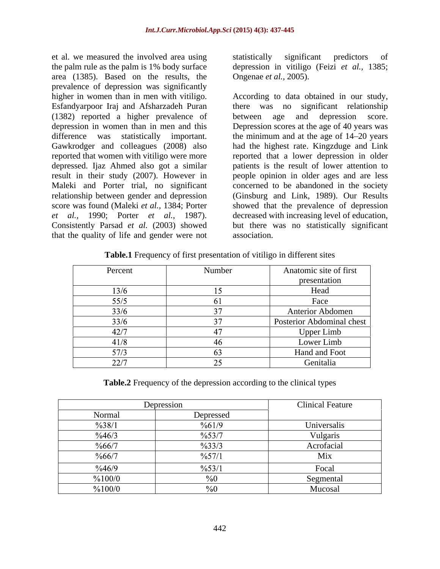et al. we measured the involved area using statistically significant predictors of the palm rule as the palm is 1% body surface area (1385). Based on the results, the prevalence of depression was significantly Esfandyarpoor Iraj and Afsharzadeh Puran (1382) reported a higher prevalence of depressed. Ijaz Ahmed also got a similar relationship between gender and depression that the quality of life and gender were not

statistically significant predictors of depression in vitiligo (Feizi *et al.,* 1385; Ongenae *et al.,* 2005).

higher in women than in men with vitiligo. According to data obtained in our study, depression in women than in men and this Depression scores at the age of 40 years was difference was statistically important. the minimum and at the age of 14–20 years Gawkrodger and colleagues (2008) also had the highest rate. Kingzduge and Link reported that women with vitiligo were more reported that a lower depression in older result in their study (2007). However in people opinion in older ages and are less Maleki and Porter trial, no significant concerned to be abandoned in the society score was found (Maleki *et al.,* 1384; Porter showed that the prevalence of depression *et al.,* 1990; Porter *et al.,* 1987). decreased with increasing level of education, Consistently Parsad *et al.* (2003) showed but there was no statistically significant there was no significant relationship between age and depression score. patients is the result of lower attention to (Ginsburg and Link, 1989). Our Results association.

| Table.1 Frequency of first presentation<br>n different sites<br>$\cdots$<br>/1t1l120 |
|--------------------------------------------------------------------------------------|
|--------------------------------------------------------------------------------------|

| Percent | Number | Anatomic site of first<br>presentation |
|---------|--------|----------------------------------------|
| 13/6    |        | Head                                   |
| 55/5    | n i    | Face                                   |
| 33/6    |        | Anterior Abdomen                       |
| 33/6    |        | Posterior Abdominal chest              |
| 42/7    |        | <b>Upper Limb</b>                      |
| 41/8    |        | Lower Limb                             |
| 57/3    | 03     | Hand and Foot                          |
| 22/7    |        | Genitalia                              |

**Table.2** Frequency of the depression according to the clinical types

|                   | Depression         | <b>Clinical Feature</b> |
|-------------------|--------------------|-------------------------|
| Normal            | Depressed          |                         |
| $\frac{9}{638}$   | $\frac{9}{661/9}$  | Universalis             |
| $\frac{9}{6}46/3$ | $\frac{9}{6}$ 53/7 | Vulgaris                |
| %66/7             | $\frac{9}{33/3}$   | Acrofacial              |
| $\frac{9}{666/7}$ | $\frac{9}{6}$ 57/  | Mix                     |
| $\frac{9}{6}46/9$ | $\frac{9}{6}$ 53/1 | Focal                   |
| %100/0            |                    | Segmental               |
| %100/0            | , v v              | Mucosal                 |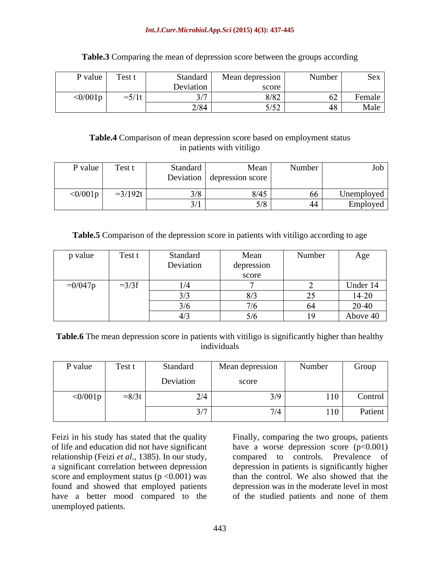### *Int.J.Curr.Microbiol.App.Sci* **(2015) 4(3): 437-445**

| P value       | Test t | standard  | Mean depression | Number | Sex    |
|---------------|--------|-----------|-----------------|--------|--------|
|               |        | Deviation | score           |        |        |
| $\leq 0/001p$ | シノ エレ  |           |                 |        | Female |
|               |        | 2/84      | $-1-2$          |        | Male   |

## **Table.3** Comparing the mean of depression score between the groups according

# **Table.4** Comparison of mean depression score based on employment status in patients with vitiligo

| P value | Test <sub>1</sub> | Standard                  | Mean             | Number | Job              |
|---------|-------------------|---------------------------|------------------|--------|------------------|
|         |                   | $\mathbf{r}$<br>Deviation | depression score |        |                  |
| 0/001p  | $-3/192t$         | הו ר                      | 8/45             | -66    | $\cup$ nemployed |
|         |                   |                           |                  | 44     | $\lnot$ mployed  |

# **Table.5** Comparison of the depression score in patients with vitiligo according to age

| p value   | Test t  | Standard      | Mean            | Number              | Age       |
|-----------|---------|---------------|-----------------|---------------------|-----------|
|           |         | Deviation     | depression      |                     |           |
|           |         |               | score           |                     |           |
| $=0/047p$ | $=3/3f$ | 1/4           |                 |                     | Under 14  |
|           |         | $\sim$ $\sim$ | - 1-            | $\sim$ $\sim$<br>–~ | $14 - 20$ |
|           |         | $\sim$ 12     | $-1$            | $\sim$ $\sim$       | 20-40     |
|           |         | $\sqrt{2}$    | $\sim$ 1 $\sim$ | 19                  | Above 40  |

**Table.6** The mean depression score in patients with vitiligo is significantly higher than healthy individuals

| $\sim$<br>P value        | Test t  | Standard      | Mean depression | Number | Group   |
|--------------------------|---------|---------------|-----------------|--------|---------|
|                          |         | Deviation     | score           |        |         |
| $\langle 0/001 \text{p}$ | $=8/3t$ | $21 +$        | 7Q –            | 110    | Control |
|                          |         | $\sim$ $\sim$ |                 | 110    | Patient |

Feizi in his study has stated that the quality Finally, comparing the two groups, patients of life and education did not have significant have a worse depression score (p<0.001) relationship (Feizi *et al.,* 1385). In our study, compared to controls. Prevalence of a significant correlation between depression depression in patients is significantly higher score and employment status  $(p < 0.001)$  was<br>found and showed that employed patients found and showed that employed patients depression was in the moderate level in most have a better mood compared to the of the studied patients and none of them unemployed patients.

than the control. We also showed that the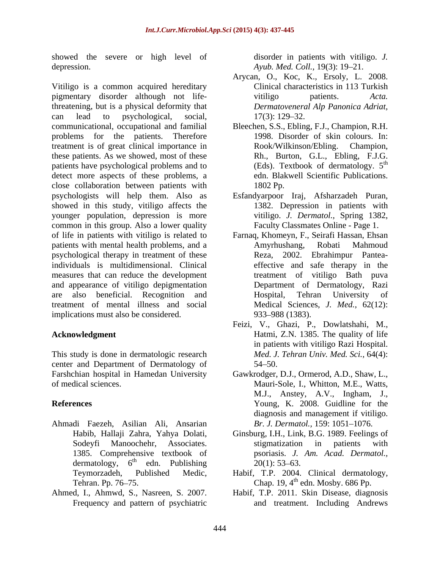showed the severe or high level of depression. *Ayub. Med. Coll.*, 19(3): 19–21.

Vitiligo is a common acquired hereditary pigmentary disorder although not life-<br>vitiligo patients. Acta. threatening, but is a physical deformity that can lead to psychological, social, communicational, occupational and familial Bleechen, S.S., Ebling, F.J., Champion, R.H. problems for the patients. Therefore treatment is of great clinical importance in Rook/Wilkinson/Ebling. Champion, these patients. As we showed, most of these **Kh.**, Burton, G.L., Ebling, F.J.G. patients have psychological problems and to (Eds). Textbook of dermatology. 5<sup>th</sup> detect more aspects of these problems, a close collaboration between patients with psychologists will help them. Also as showed in this study, vitiligo affects the 1382. Depression in patients with younger population, depression is more common in this group. Also a lower quality of life in patients with vitiligo is related to Farnaq, Khomeyn, F., Seirafi Hassan, Ehsan patients with mental health problems, and a **Amyrhushang**, Robati Mahmoud psychological therapy in treatment of these individuals is multidimensional. Clinical measures that can reduce the development and appearance of vitiligo depigmentation are also beneficial. Recognition and treatment of mental illness and social implications must also be considered. 933–988 (1383).

This study is done in dermatologic research center and Department of Dermatology of Farshchian hospital in Hamedan University

- Ahmadi Faezeh, Asilian Ali, Ansarian
- Ahmed, I., Ahmwd, S., Nasreen, S. 2007. Frequency and pattern of psychiatric

disorder in patients with vitiligo. *J.* 

- Arycan, O., Koc, K., Ersoly, L. 2008. Clinical characteristics in 113 Turkish vitiligo patients. *Acta. Dermatoveneral Alp Panonica Adriat,*  $17(3)$ :  $129-32$ .
- 1998. Disorder of skin colours. In: Rook/Wilkinson/Ebling. Rh., Burton, G.L., Ebling, F.J.G.<br>(Eds). Textbook of dermatology. 5<sup>th</sup> th edn. Blakwell Scientific Publications. 1802 Pp.
- Esfandyarpoor Iraj, Afsharzadeh Puran, 1382. Depression in patients with vitiligo. *J. Dermatol.,* Spring 1382, Faculty Classmates Online - Page 1.
- Amyrhushang, Robati Mahmoud Reza, 2002. Ebrahimpur Pantea effective and safe therapy in the treatment of vitiligo Bath puva Department of Dermatology, Razi Hospital, Tehran University of Medical Sciences, *J. Med.,* 62(12): 933 988 (1383).
- **Acknowledgment** Hatmi, Z.N. 1385. The quality of life Feizi, V., Ghazi, P., Dowlatshahi, M., Hatmi, Z.N. 1385. The quality of life in patients with vitiligo Razi Hospital. *Med. J. Tehran Univ. Med. Sci.,* 64(4):  $54 - 50.$
- of medical sciences. Mauri-Sole, I., Whitton, M.E., Watts, **References** Young, K. 2008. Guidline for the Gawkrodger, D.J., Ormerod, A.D., Shaw, L., M.J., Anstey, A.V., Ingham, J., diagnosis and management if vitiligo. *Br. J. Dermatol.,* 159: 1051-1076.
	- Habib, Hallaji Zahra, Yahya Dolati, Ginsburg, I.H., Link, B.G. 1989. Feelings of Sodeyfi Manoochehr, Associates. stigmatization in patients with<br>1385. Comprehensive textbook of psoriasis. J. Am. Acad. Dermatol., dermatology,  $6^{\text{th}}$  edn. Publishing  $20(1)$ : 53–63. edn. Publishing  $20(1)$ : 53–63. stigmatization in patients with psoriasis. *J. Am. Acad. Dermatol.,*  $20(1)$ : 53–63.
	- Teymorzadeh, Published Medic, Habif, T.P. 2004. Clinical dermatology, Tehran. Pp. 76–75. Chap. 19,  $4<sup>th</sup>$  edn. Mosby. 686 Pp.
		- Habif, T.P. 2011. Skin Disease, diagnosis and treatment. Including Andrews